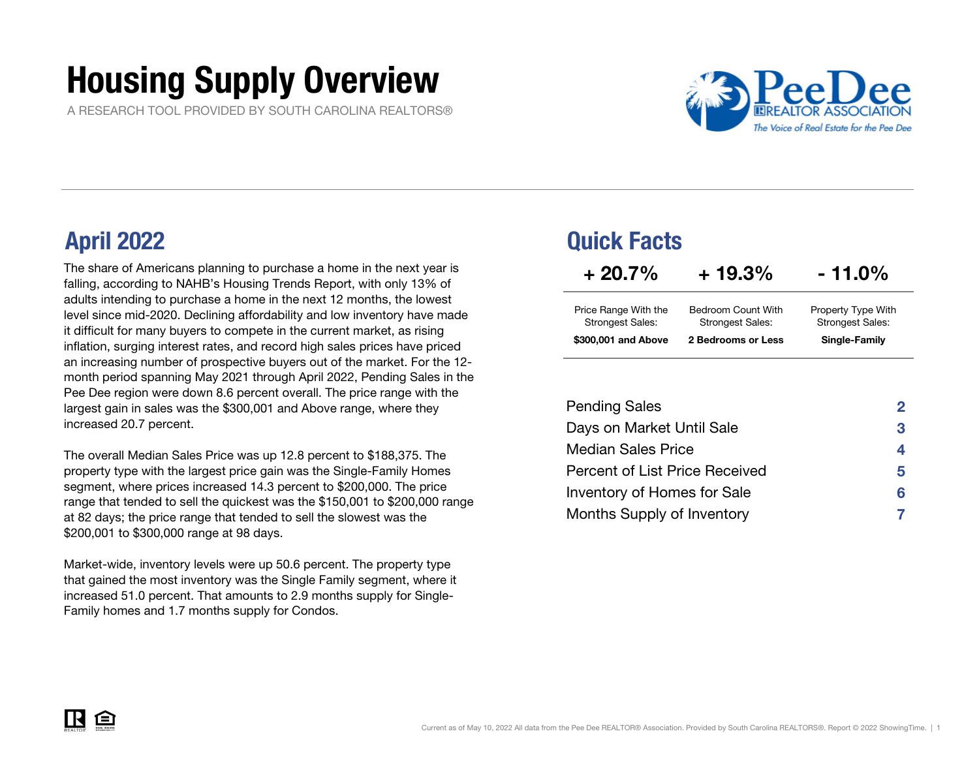# Housing Supply Overview

A RESEARCH TOOL PROVIDED BY SOUTH CAROLINA REALTORS®



The share of Americans planning to purchase a home in the next year is falling, according to NAHB's Housing Trends Report, with only 13% of adults intending to purchase a home in the next 12 months, the lowest level since mid-2020. Declining affordability and low inventory have made it difficult for many buyers to compete in the current market, as rising inflation, surging interest rates, and record high sales prices have priced an increasing number of prospective buyers out of the market. For the 12 month period spanning May 2021 through April 2022, Pending Sales in the Pee Dee region were down 8.6 percent overall. The price range with the largest gain in sales was the \$300,001 and Above range, where they increased 20.7 percent.

The overall Median Sales Price was up 12.8 percent to \$188,375. The property type with the largest price gain was the Single-Family Homes segment, where prices increased 14.3 percent to \$200,000. The price range that tended to sell the quickest was the \$150,001 to \$200,000 range at 82 days; the price range that tended to sell the slowest was the \$200,001 to \$300,000 range at 98 days.

Market-wide, inventory levels were up 50.6 percent. The property type that gained the most inventory was the Single Family segment, where it increased 51.0 percent. That amounts to 2.9 months supply for Single-Family homes and 1.7 months supply for Condos.

## April 2022 Quick Facts

| $+20.7%$                                        | $+19.3%$                                      | $-11.0\%$                                     |
|-------------------------------------------------|-----------------------------------------------|-----------------------------------------------|
| Price Range With the<br><b>Strongest Sales:</b> | Bedroom Count With<br><b>Strongest Sales:</b> | Property Type With<br><b>Strongest Sales:</b> |
| \$300,001 and Above                             | 2 Bedrooms or Less                            | Single-Family                                 |

| <b>Pending Sales</b>           | 2  |
|--------------------------------|----|
| Days on Market Until Sale      | 3  |
| <b>Median Sales Price</b>      | 4  |
| Percent of List Price Received | 5. |
| Inventory of Homes for Sale    | 6  |
| Months Supply of Inventory     |    |

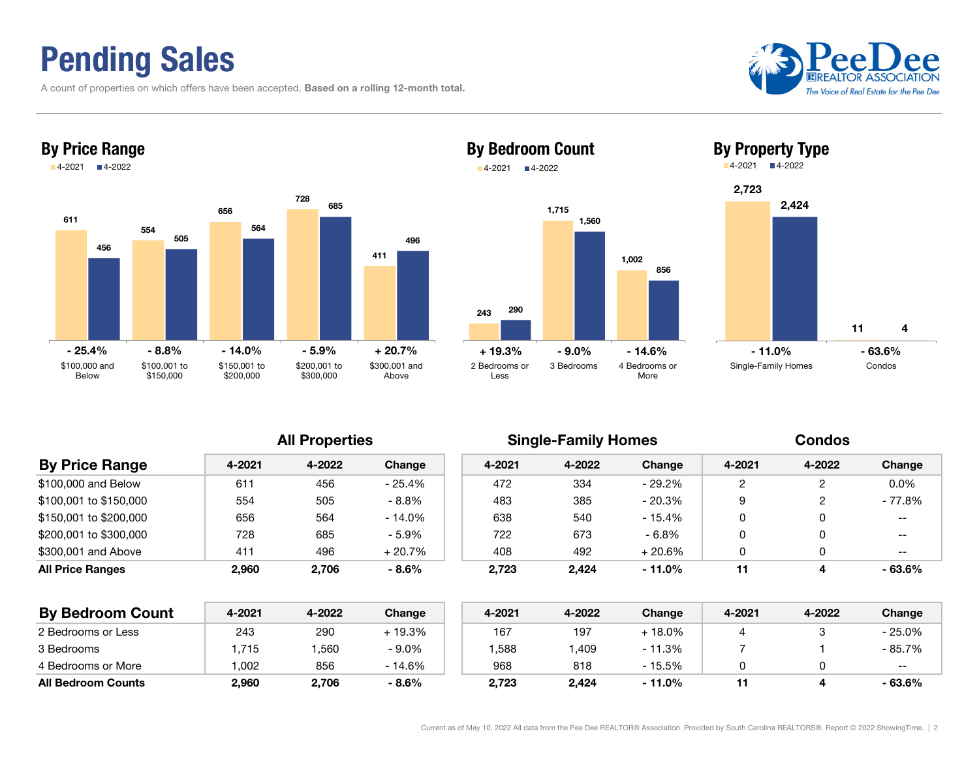## Pending Sales

A count of properties on which offers have been accepted. Based on a rolling 12-month total.





### 2431,715 1,002 2901,560 8562 Bedrooms orLess3 Bedrooms 4 Bedrooms orMoreBy Bedroom Count 4-2021 4-2022 + 19.3%- 9.0% - 14.6%



| <b>By Price Range</b>  | 4-2021 | 4-2022 | Change    | 4-2021 | 4-2022 | Change    | 4-2021 | 4-2022 | Change    |
|------------------------|--------|--------|-----------|--------|--------|-----------|--------|--------|-----------|
| \$100,000 and Below    | 611    | 456    | - 25.4%   | 472    | 334    | - 29.2%   |        |        | $0.0\%$   |
| \$100.001 to \$150.000 | 554    | 505    | $-8.8\%$  | 483    | 385    | $-20.3\%$ | 9      |        | - 77.8%   |
| \$150.001 to \$200.000 | 656    | 564    | $-14.0\%$ | 638    | 540    | - 15.4%   | 0      |        | $- -$     |
| \$200.001 to \$300.000 | 728    | 685    | $-5.9\%$  | 722    | 673    | $-6.8\%$  | 0      |        | $- -$     |
| \$300,001 and Above    | 411    | 496    | $+20.7%$  | 408    | 492    | $+20.6\%$ | 0      |        | $- -$     |
| All Price Ranges       | 2.960  | 2,706  | $-8.6\%$  | 2,723  | 2,424  | $-11.0\%$ | 11     | 4      | $-63.6\%$ |
|                        |        |        |           |        |        |           |        |        |           |

| <b>By Bedroom Count</b>   | 4-2021 | 4-2022 | Change  | 4-2021 | 4-2022 | Change    | 4-2021 | 4-2022 | Change  |
|---------------------------|--------|--------|---------|--------|--------|-----------|--------|--------|---------|
| 2 Bedrooms or Less        | 243    | 290    | + 19.3% | 167    | 197    | $-18.0\%$ |        |        | - 25.0% |
| 3 Bedrooms                | .715   | .560   | $-9.0%$ | .588   | ,409   | $-11.3%$  |        |        | - 85.7% |
| 4 Bedrooms or More        | .002   | 856    | - 14.6% | 968    | 818    | - 15.5%   |        |        | $- -$   |
| <b>All Bedroom Counts</b> | 2,960  | 2,706  | $-8.6%$ | 2,723  | 2,424  | $-11.0%$  |        |        | - 63.6% |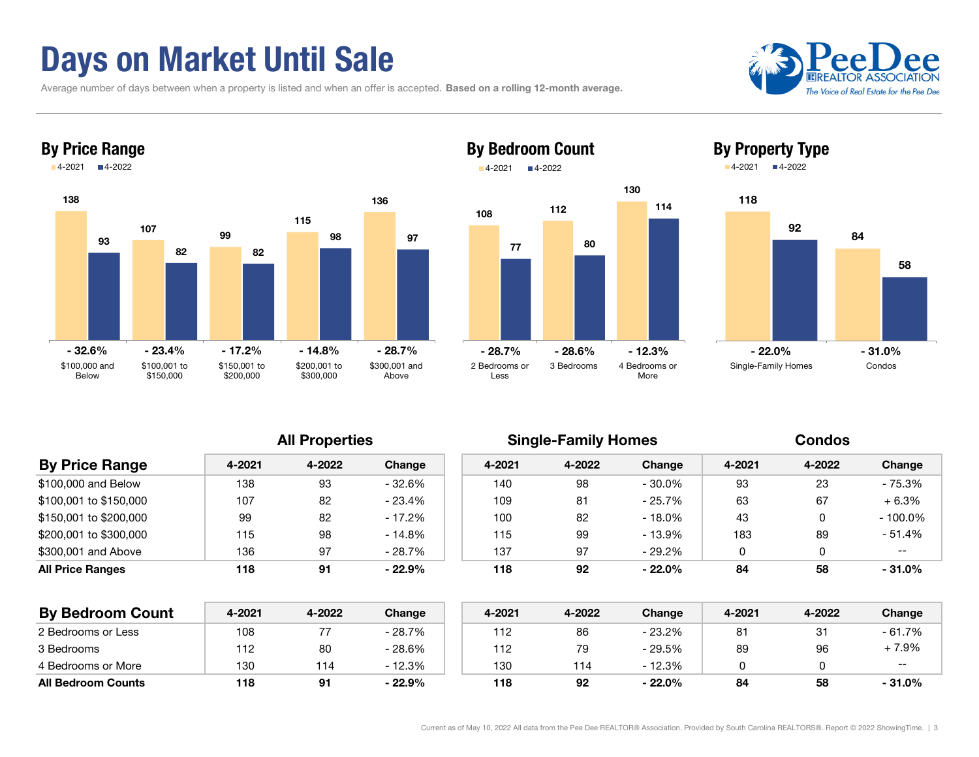## Days on Market Until Sale

Average number of days between when a property is listed and when an offer is accepted. Based on a rolling 12-month average.





### 108 <sup>112</sup> 130 By Bedroom Count 4-2021■4-2022

77



<sup>80</sup>

114



| <b>By Price Range</b>   | 4-2021 | 4-2022 | Change    | 4-2021 | 4-2022 | Change    | 4-2021 | 4-2022 | Change     |
|-------------------------|--------|--------|-----------|--------|--------|-----------|--------|--------|------------|
| \$100,000 and Below     | 138    | 93     | - 32.6%   | 140    | 98     | $-30.0\%$ | 93     | 23     | - 75.3%    |
| \$100.001 to \$150.000  | 107    | 82     | - 23.4%   | 109    | 81     | $-25.7%$  | 63     | 67     | $+6.3%$    |
| \$150.001 to \$200.000  | 99     | 82     | - 17.2%   | 100    | 82     | - 18.0%   | 43     |        | $-100.0\%$ |
| \$200.001 to \$300.000  | 115    | 98     | - 14.8%   | 115    | 99     | - 13.9%   | 183    | 89     | - 51.4%    |
| \$300,001 and Above     | 136    | 97     | - 28.7%   | 137    | 97     | $-29.2\%$ |        |        | $- -$      |
| <b>All Price Ranges</b> | 118    | 91     | $-22.9\%$ | 118    | 92     | $-22.0\%$ | 84     | 58     | $-31.0\%$  |
|                         |        |        |           |        |        |           |        |        |            |

| <b>By Bedroom Count</b>   | 4-2021 | 4-2022 | Change   | 4-2021 | 4-2022 | Change   | 4-2021 | 4-2022 | Change    |
|---------------------------|--------|--------|----------|--------|--------|----------|--------|--------|-----------|
| 2 Bedrooms or Less        | 108    |        | - 28.7%  | 112    | 86     | - 23.2%  | 81     | 31     | $-61.7%$  |
| 3 Bedrooms                | 112    | 80     | - 28.6%  | 112    | 79     | - 29.5%  | 89     | 96     | 7.9%      |
| 4 Bedrooms or More        | 130    | 114    | $-12.3%$ | 130    | 114    | - 12.3%  |        |        | $- -$     |
| <b>All Bedroom Counts</b> | 118    |        | $-22.9%$ | 118    | 92     | $-22.0%$ | 84     | 58     | $-31.0\%$ |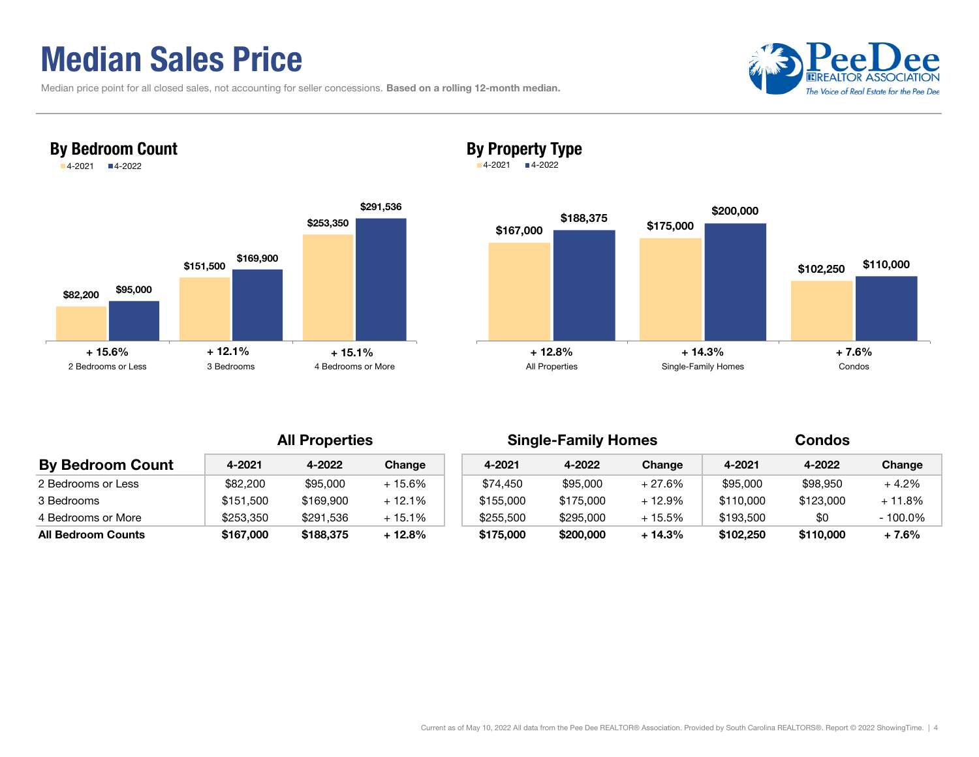## Median Sales Price

By Bedroom Count 4-2021 4-2022

| Median price point for all closed sales, not accounting for seller concessions. Based on a rolling 12-month median. |  |  |
|---------------------------------------------------------------------------------------------------------------------|--|--|
|---------------------------------------------------------------------------------------------------------------------|--|--|





### By Property Type

4-2021 4-2022



| <b>By Bedroom Count</b>   | 4-2021    | 4-2022    | Change   | 4-2021    | 4-2022    | Change   | 4-2021    | 4-2022    | Change   |
|---------------------------|-----------|-----------|----------|-----------|-----------|----------|-----------|-----------|----------|
| 2 Bedrooms or Less        | \$82,200  | \$95,000  | $+15.6%$ | \$74,450  | \$95,000  | $+27.6%$ | \$95,000  | \$98,950  | + 4.2%   |
| 3 Bedrooms                | \$151.500 | \$169,900 | $+12.1%$ | \$155,000 | \$175,000 | + 12.9%  | \$110,000 | \$123,000 | + 11.8%  |
| 4 Bedrooms or More        | \$253,350 | \$291,536 | $+15.1%$ | \$255,500 | \$295,000 | + 15.5%  | \$193.500 | \$0       | - 100.0% |
| <b>All Bedroom Counts</b> | \$167,000 | \$188,375 | $+12.8%$ | \$175,000 | \$200,000 | + 14.3%  | \$102,250 | \$110,000 | + 7.6%   |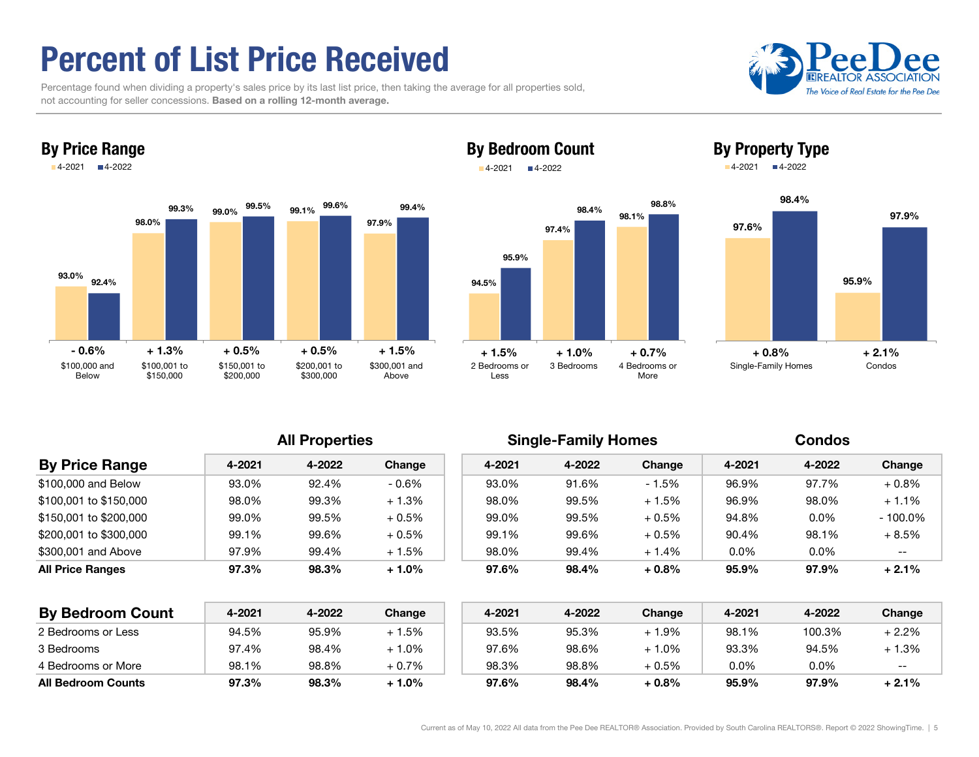## Percent of List Price Received

By Price Range

 Percentage found when dividing a property's sales price by its last list price, then taking the average for all properties sold, not accounting for seller concessions. Based on a rolling 12-month average.





### By Bedroom Count 4-2021■4-2022





By Property Type



| <b>By Price Range</b>   | 4-2021 | 4-2022 | Change  | 4-2021 | 4-2022 | Change   | 4-2021  | 4-2022 | Change     |
|-------------------------|--------|--------|---------|--------|--------|----------|---------|--------|------------|
| \$100,000 and Below     | 93.0%  | 92.4%  | $-0.6%$ | 93.0%  | 91.6%  | $-1.5%$  | 96.9%   | 97.7%  | $+0.8\%$   |
| \$100,001 to \$150,000  | 98.0%  | 99.3%  | $+1.3%$ | 98.0%  | 99.5%  | $+1.5%$  | 96.9%   | 98.0%  | $+1.1%$    |
| \$150,001 to \$200,000  | 99.0%  | 99.5%  | $+0.5%$ | 99.0%  | 99.5%  | $+0.5\%$ | 94.8%   | 0.0%   | $-100.0\%$ |
| \$200,001 to \$300,000  | 99.1%  | 99.6%  | $+0.5%$ | 99.1%  | 99.6%  | $+0.5%$  | 90.4%   | 98.1%  | + 8.5%     |
| \$300,001 and Above     | 97.9%  | 99.4%  | $+1.5%$ | 98.0%  | 99.4%  | $+1.4%$  | $0.0\%$ | 0.0%   | $- -$      |
| <b>All Price Ranges</b> | 97.3%  | 98.3%  | $+1.0%$ | 97.6%  | 98.4%  | $+0.8%$  | 95.9%   | 97.9%  | $+2.1%$    |
|                         |        |        |         |        |        |          |         |        |            |
|                         |        |        |         |        |        |          |         |        |            |

| <b>By Bedroom Count</b>   | 4-2021 | 4-2022 | Change | 4-2021 | 4-2022 | Change   | 4-2021 | 4-2022  | Change  |
|---------------------------|--------|--------|--------|--------|--------|----------|--------|---------|---------|
| 2 Bedrooms or Less        | 94.5%  | 95.9%  | + 1.5% | 93.5%  | 95.3%  | + 1.9%   | 98.1%  | 100.3%  | $+2.2%$ |
| 3 Bedrooms                | 97.4%  | 98.4%  | ⊦ 1.0% | 97.6%  | 98.6%  | $-1.0\%$ | 93.3%  | 94.5%   | $+1.3%$ |
| 4 Bedrooms or More        | 98.1%  | 98.8%  | + 0.7% | 98.3%  | 98.8%  | + 0.5%   | 0.0%   | $0.0\%$ | $- -$   |
| <b>All Bedroom Counts</b> | 97.3%  | 98.3%  | + 1.0% | 97.6%  | 98.4%  | + 0.8%   | 95.9%  | 97.9%   | $+2.1%$ |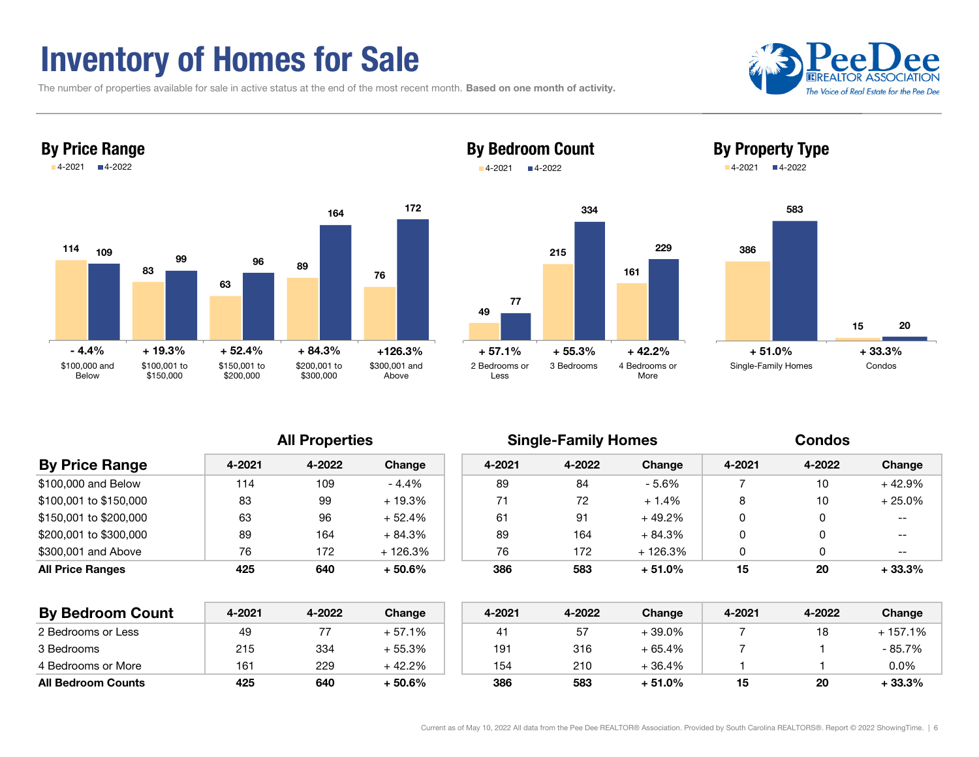## Inventory of Homes for Sale

The number of properties available for sale in active status at the end of the most recent month. Based on one month of activity.





### By Bedroom Count ■4-2022





By Property Type 4-2021 4-2022

All Properties **Single-Family Homes** Condos

| <b>By Price Range</b>  | 4-2021 | 4-2022 | Change    | 4-2021 | 4-2022 | Change    | 4-2021 | 4-2022 | Change            |
|------------------------|--------|--------|-----------|--------|--------|-----------|--------|--------|-------------------|
| \$100,000 and Below    | 114    | 109    | $-4.4%$   | 89     | 84     | - 5.6%    |        | 10     | $+42.9%$          |
| \$100,001 to \$150,000 | 83     | 99     | $+19.3%$  | 71     | 72     | $+1.4%$   | 8      | 10     | $+25.0%$          |
| \$150,001 to \$200,000 | 63     | 96     | $+52.4%$  | 61     | 91     | + 49.2%   | 0      | U      | $\qquad \qquad -$ |
| \$200,001 to \$300,000 | 89     | 164    | $+84.3%$  | 89     | 164    | + 84.3%   | 0      | 0      | $- -$             |
| \$300,001 and Above    | 76     | 172    | $+126.3%$ | 76     | 172    | $+126.3%$ | 0      |        | $- -$             |
| All Price Ranges       | 425    | 640    | $+50.6%$  | 386    | 583    | $+51.0%$  | 15     | 20     | $+33.3%$          |
|                        |        |        |           |        |        |           |        |        |                   |

4-2021

| <b>By Bedroom Count</b>   | 4-2021 | 4-2022 | Change  | 4-2021 | 4-2022 | Change    | 4-2021 | 4-2022 | Change  |
|---------------------------|--------|--------|---------|--------|--------|-----------|--------|--------|---------|
| 2 Bedrooms or Less        | 49     |        | + 57.1% |        | 57     | $-39.0\%$ |        |        | 157.1%  |
| 3 Bedrooms                | 215    | 334    | + 55.3% | 191    | 316    | + 65.4%   |        |        | - 85.7% |
| 4 Bedrooms or More        | 161    | 229    | + 42.2% | 154    | 210    | + 36.4%   |        |        | 0.0%    |
| <b>All Bedroom Counts</b> | 425    | 640    | + 50.6% | 386    | 583    | + 51.0%   | 15     | 20     | + 33.3% |